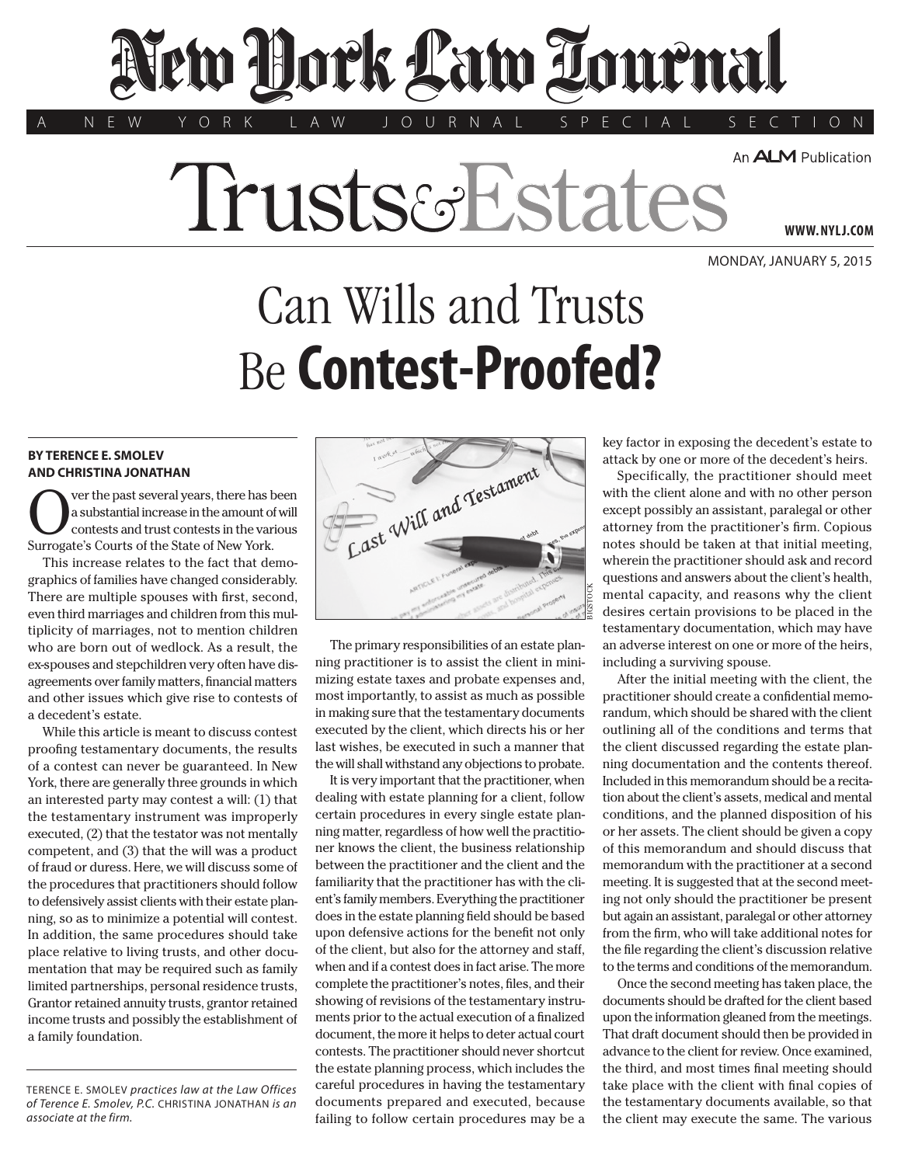## lew Dock Law Tournal

An **ALM** Publication

Trusts&Estat

A N E W Y O R K L A W J O U R N A L S P E C I A L S E C T I O N

Monday, January 5, 2015

**www. NYLJ.com**

## Can Wills and Trusts Be **Contest-Proofed?**

## **BY TERENCE E. SMOLEV AND CHRISTINA JONATHAN**

ver the past several years, there has been a substantial increase in the amount of will contests and trust contests in the various Surrogate's Courts of the State of New York.

This increase relates to the fact that demographics of families have changed considerably. There are multiple spouses with first, second, even third marriages and children from this multiplicity of marriages, not to mention children who are born out of wedlock. As a result, the ex-spouses and stepchildren very often have disagreements over family matters, financial matters and other issues which give rise to contests of a decedent's estate.

While this article is meant to discuss contest proofing testamentary documents, the results of a contest can never be guaranteed. In New York, there are generally three grounds in which an interested party may contest a will: (1) that the testamentary instrument was improperly executed, (2) that the testator was not mentally competent, and (3) that the will was a product of fraud or duress. Here, we will discuss some of the procedures that practitioners should follow to defensively assist clients with their estate planning, so as to minimize a potential will contest. In addition, the same procedures should take place relative to living trusts, and other documentation that may be required such as family limited partnerships, personal residence trusts, Grantor retained annuity trusts, grantor retained income trusts and possibly the establishment of a family foundation.

Terence E. Smolev *practices law at the Law Offices of Terence E. Smolev, P.C.* Christina Jonathan *is an associate at the firm.*



The primary responsibilities of an estate planning practitioner is to assist the client in minimizing estate taxes and probate expenses and, most importantly, to assist as much as possible in making sure that the testamentary documents executed by the client, which directs his or her last wishes, be executed in such a manner that the will shall withstand any objections to probate.

It is very important that the practitioner, when dealing with estate planning for a client, follow certain procedures in every single estate planning matter, regardless of how well the practitioner knows the client, the business relationship between the practitioner and the client and the familiarity that the practitioner has with the client's family members. Everything the practitioner does in the estate planning field should be based upon defensive actions for the benefit not only of the client, but also for the attorney and staff, when and if a contest does in fact arise. The more complete the practitioner's notes, files, and their showing of revisions of the testamentary instruments prior to the actual execution of a finalized document, the more it helps to deter actual court contests. The practitioner should never shortcut the estate planning process, which includes the careful procedures in having the testamentary documents prepared and executed, because failing to follow certain procedures may be a

key factor in exposing the decedent's estate to attack by one or more of the decedent's heirs.

Specifically, the practitioner should meet with the client alone and with no other person except possibly an assistant, paralegal or other attorney from the practitioner's firm. Copious notes should be taken at that initial meeting, wherein the practitioner should ask and record questions and answers about the client's health, mental capacity, and reasons why the client desires certain provisions to be placed in the testamentary documentation, which may have an adverse interest on one or more of the heirs, including a surviving spouse.

After the initial meeting with the client, the practitioner should create a confidential memorandum, which should be shared with the client outlining all of the conditions and terms that the client discussed regarding the estate planning documentation and the contents thereof. Included in this memorandum should be a recitation about the client's assets, medical and mental conditions, and the planned disposition of his or her assets. The client should be given a copy of this memorandum and should discuss that memorandum with the practitioner at a second meeting. It is suggested that at the second meeting not only should the practitioner be present but again an assistant, paralegal or other attorney from the firm, who will take additional notes for the file regarding the client's discussion relative to the terms and conditions of the memorandum.

Once the second meeting has taken place, the documents should be drafted for the client based upon the information gleaned from the meetings. That draft document should then be provided in advance to the client for review. Once examined, the third, and most times final meeting should take place with the client with final copies of the testamentary documents available, so that the client may execute the same. The various